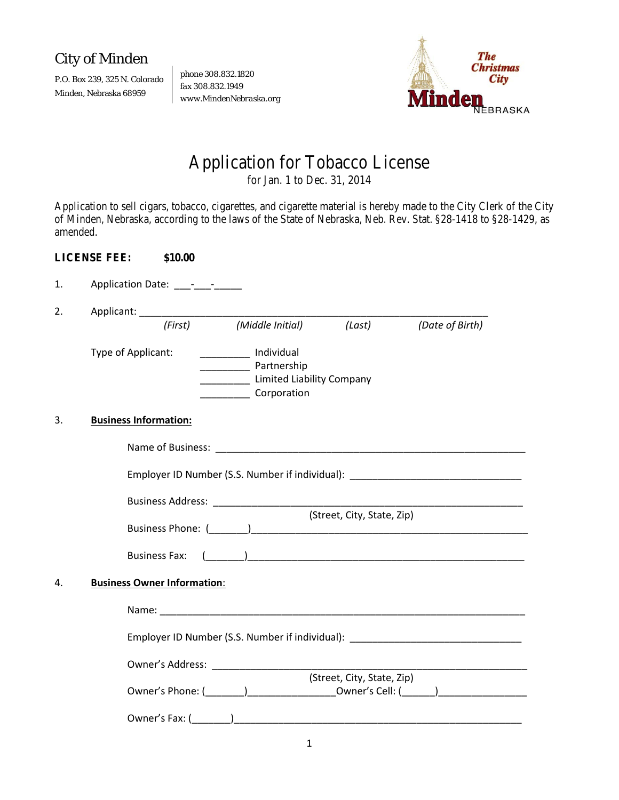## City of Minden

P.O. Box 239, 325 N. Colorado Minden, Nebraska 68959

*phone 308.832.1820 fax 308.832.1949 www.MindenNebraska.org*



## Application for Tobacco License for Jan. 1 to Dec. 31, 2014

Application to sell cigars, tobacco, cigarettes, and cigarette material is hereby made to the City Clerk of the City of Minden, Nebraska, according to the laws of the State of Nebraska, Neb. Rev. Stat. §28-1418 to §28-1429, as a

| amended.            |                                                                                  |  |  |  |
|---------------------|----------------------------------------------------------------------------------|--|--|--|
| <b>LICENSE FEE:</b> | \$10.00                                                                          |  |  |  |
| 1.                  | Application Date: ______________                                                 |  |  |  |
| 2.                  |                                                                                  |  |  |  |
|                     |                                                                                  |  |  |  |
|                     | Type of Applicant:<br>Individual                                                 |  |  |  |
|                     |                                                                                  |  |  |  |
|                     | Limited Liability Company                                                        |  |  |  |
|                     | Corporation                                                                      |  |  |  |
| 3.                  | <b>Business Information:</b>                                                     |  |  |  |
|                     |                                                                                  |  |  |  |
|                     | Employer ID Number (S.S. Number if individual): ________________________________ |  |  |  |
|                     |                                                                                  |  |  |  |
|                     | (Street, City, State, Zip)                                                       |  |  |  |
|                     |                                                                                  |  |  |  |
|                     |                                                                                  |  |  |  |
| 4.                  | <b>Business Owner Information:</b>                                               |  |  |  |
|                     |                                                                                  |  |  |  |
|                     | Employer ID Number (S.S. Number if individual): ________________________________ |  |  |  |

Owner's Address: \_\_\_\_\_\_\_\_\_\_\_\_\_\_\_\_\_\_\_\_\_\_\_\_\_\_\_\_\_\_\_\_\_\_\_\_\_\_\_\_\_\_\_\_\_\_\_\_\_\_\_\_\_\_\_\_\_ (Street, City, State, Zip) Owner's Phone: (\_\_\_\_\_\_\_)\_\_\_\_\_\_\_\_\_\_\_\_\_\_\_\_Owner's Cell: (\_\_\_\_\_\_)\_\_\_\_\_\_\_\_\_\_\_\_\_\_\_\_

Owner's Fax: (\_\_\_\_\_\_\_)\_\_\_\_\_\_\_\_\_\_\_\_\_\_\_\_\_\_\_\_\_\_\_\_\_\_\_\_\_\_\_\_\_\_\_\_\_\_\_\_\_\_\_\_\_\_\_\_\_\_\_\_